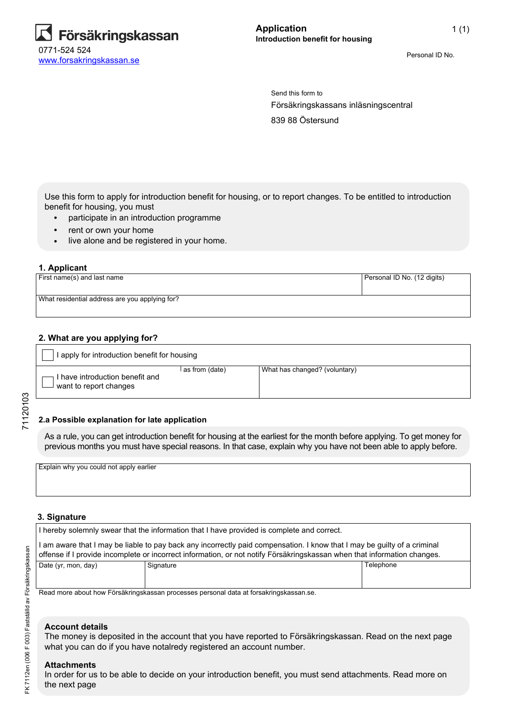

Personal ID No.

Försäkringskassans inläsningscentral Send this form to 839 88 Östersund

Use this form to apply for introduction benefit for housing, or to report changes. To be entitled to introduction benefit for housing, you must

- participate in an introduction programme
- rent or own your home
- live alone and be registered in your home.

#### **1. Applicant**

| First name(s) and last name                    | Personal ID No. (12 digits) |
|------------------------------------------------|-----------------------------|
| What residential address are you applying for? |                             |

### **2. What are you applying for?**

| I apply for introduction benefit for housing              |                        |                               |  |  |
|-----------------------------------------------------------|------------------------|-------------------------------|--|--|
| I have introduction benefit and<br>want to report changes | $\vert$ as from (date) | What has changed? (voluntary) |  |  |

# **2.a Possible explanation for late application**

As a rule, you can get introduction benefit for housing at the earliest for the month before applying. To get money for previous months you must have special reasons. In that case, explain why you have not been able to apply before.

Explain why you could not apply earlier

## **3. Signature**

I hereby solemnly swear that the information that I have provided is complete and correct.

I am aware that I may be liable to pay back any incorrectly paid compensation. I know that I may be guilty of a criminal offense if I provide incomplete or incorrect information, or not notify Försäkringskassan when that information changes.

| Date (yr, mon, day) | Signature | Telephone |
|---------------------|-----------|-----------|
|                     |           |           |
|                     |           |           |

Read more about how Försäkringskassan processes personal data at forsakringskassan.se.

### **Account details**

The money is deposited in the account that you have reported to Försäkringskassan. Read on the next page what you can do if you have notalredy registered an account number.

### **Attachments**

In order for us to be able to decide on your introduction benefit, you must send attachments. Read more on the next page

71120103

1120103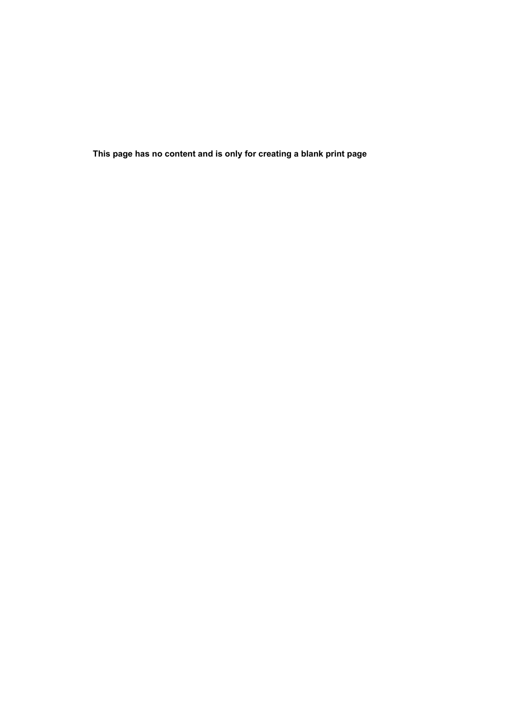**This page has no content and is only for creating a blank print page**